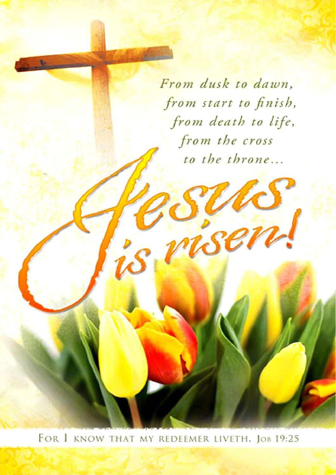From dusk to dawn, from start to finish, from death to life, from the cross to the throne...

ser

FOR I KNOW THAT MY REDEEMER LIVETH. JOB 19:25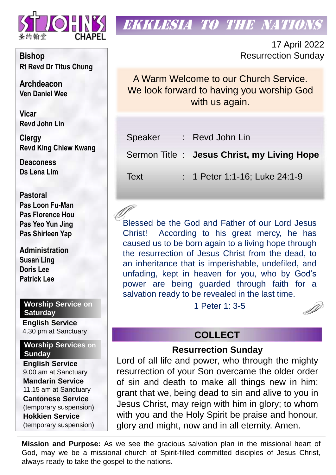

### **EKKLESIA TO THE NATION**

17 April 2022 Resurrection Sunday

A Warm Welcome to our Church Service. We look forward to having you worship God with us again.

| Speaker | : Revd John Lin                            |
|---------|--------------------------------------------|
|         | Sermon Title: Jesus Christ, my Living Hope |
| Text    | : 1 Peter 1:1-16; Luke 24:1-9              |

Blessed be the God and Father of our Lord Jesus Christ! According to his great mercy, he has caused us to be born again to a living hope through the resurrection of Jesus Christ from the dead, to an inheritance that is imperishable, undefiled, and unfading, kept in heaven for you, who by God's power are being guarded through faith for a salvation ready to be revealed in the last time.

1 Peter 1: 3-5

#### **COLLECT**

#### **Resurrection Sunday**

Lord of all life and power, who through the mighty resurrection of your Son overcame the older order of sin and death to make all things new in him: grant that we, being dead to sin and alive to you in Jesus Christ, may reign with him in glory; to whom with you and the Holy Spirit be praise and honour, glory and might, now and in all eternity. Amen.

**Mission and Purpose:** As we see the gracious salvation plan in the missional heart of God, may we be a missional church of Spirit-filled committed disciples of Jesus Christ, always ready to take the gospel to the nations.

**Bishop Rt Revd Dr Titus Chung**

**Archdeacon Ven Daniel Wee**

**Vicar Revd John Lin** 

**Clergy Revd King Chiew Kwang**

**Deaconess Ds Lena Lim**

**Pastoral Pas Loon Fu-Man Pas Florence Hou Pas Yeo Yun Jing Pas Shirleen Yap**

**Administration Susan Ling Doris Lee Patrick Lee**

**Worship Service on Saturday English Service** 

4.30 pm at Sanctuary

**Worship Services on Sunday**

**English Service** 9.00 am at Sanctuary **Mandarin Service** 11.15 am at Sanctuary **Cantonese Service** (temporary suspension) **Hokkien Service** (temporary suspension)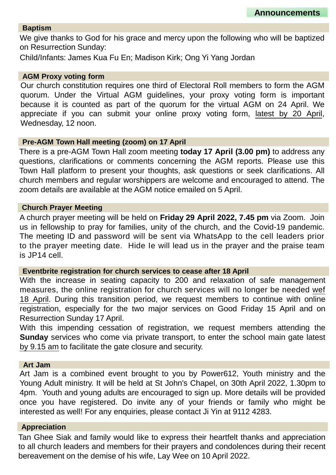#### **Baptism**

We give thanks to God for his grace and mercy upon the following who will be baptized on Resurrection Sunday:

Child/Infants: James Kua Fu En; Madison Kirk; Ong Yi Yang Jordan

#### **AGM Proxy voting form**

Our church constitution requires one third of Electoral Roll members to form the AGM quorum. Under the Virtual AGM guidelines, your proxy voting form is important because it is counted as part of the quorum for the virtual AGM on 24 April. We appreciate if you can submit your online proxy voting form, latest by 20 April, Wednesday, 12 noon.

#### **Pre-AGM Town Hall meeting (zoom) on 17 April**

There is a pre-AGM Town Hall zoom meeting **today 17 April (3.00 pm)** to address any questions, clarifications or comments concerning the AGM reports. Please use this Town Hall platform to present your thoughts, ask questions or seek clarifications. All church members and regular worshippers are welcome and encouraged to attend. The zoom details are available at the AGM notice emailed on 5 April.

#### **Church Prayer Meeting**

A church prayer meeting will be held on **Friday 29 April 2022, 7.45 pm** via Zoom. Join us in fellowship to pray for families, unity of the church, and the Covid-19 pandemic. The meeting ID and password will be sent via WhatsApp to the cell leaders prior to the prayer meeting date. Hide Ie will lead us in the prayer and the praise team is JP14 cell.

#### **Eventbrite registration for church services to cease after 18 April**

With the increase in seating capacity to 200 and relaxation of safe management measures, the online registration for church services will no longer be needed wef 18 April. During this transition period, we request members to continue with online registration, especially for the two major services on Good Friday 15 April and on Resurrection Sunday 17 April.

With this impending cessation of registration, we request members attending the **Sunday** services who come via private transport, to enter the school main gate latest by 9.15 am to facilitate the gate closure and security.

#### **Art Jam**

Art Jam is a combined event brought to you by Power612, Youth ministry and the Young Adult ministry. It will be held at St John's Chapel, on 30th April 2022, 1.30pm to 4pm. Youth and young adults are encouraged to sign up. More details will be provided once you have registered. Do invite any of your friends or family who might be interested as well! For any enquiries, please contact Ji Yin at 9112 4283.

#### **Appreciation**

Tan Ghee Siak and family would like to express their heartfelt thanks and appreciation to all church leaders and members for their prayers and condolences during their recent bereavement on the demise of his wife, Lay Wee on 10 April 2022.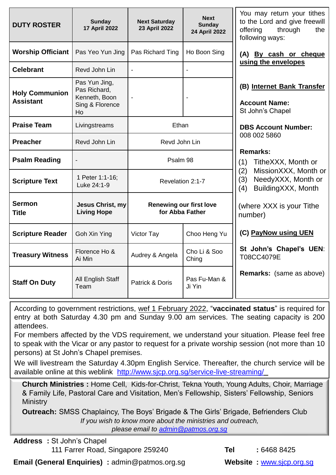| <b>DUTY ROSTER</b>                                                                                                   | <b>Sunday</b><br><b>17 April 2022</b>         | <b>Next Saturday</b><br>23 April 2022             | <b>Next</b><br><b>Sunday</b><br>24 April 2022 | You may return your tithes<br>to the Lord and give freewill<br>through<br>offering<br>the<br>following ways: |
|----------------------------------------------------------------------------------------------------------------------|-----------------------------------------------|---------------------------------------------------|-----------------------------------------------|--------------------------------------------------------------------------------------------------------------|
| <b>Worship Officiant</b>                                                                                             | Pas Yeo Yun Jing                              | Pas Richard Ting                                  | Ho Boon Sing                                  | (A) By cash or cheque                                                                                        |
| <b>Celebrant</b>                                                                                                     | Revd John Lin                                 | $\blacksquare$                                    | $\overline{a}$                                | using the envelopes                                                                                          |
| Pas Yun Jing,<br>Pas Richard,<br><b>Holy Communion</b><br>Kenneth, Boon<br><b>Assistant</b><br>Sing & Florence<br>Ho |                                               | $\overline{\phantom{a}}$                          |                                               | (B) Internet Bank Transfer<br><b>Account Name:</b><br>St John's Chapel                                       |
| <b>Praise Team</b>                                                                                                   | Livingstreams                                 | Ethan                                             |                                               | <b>DBS Account Number:</b>                                                                                   |
| <b>Preacher</b>                                                                                                      | Revd John Lin                                 | Revd John Lin                                     |                                               | 008 002 5860                                                                                                 |
| <b>Psalm Reading</b>                                                                                                 | $\blacksquare$                                | Psalm 98                                          |                                               | <b>Remarks:</b><br>(1)<br>TitheXXX, Month or                                                                 |
| <b>Scripture Text</b>                                                                                                | 1 Peter 1:1-16;<br>Luke 24:1-9                | Revelation 2:1-7                                  |                                               | MissionXXX, Month or<br>(2)<br>NeedyXXX, Month or<br>(3)<br>BuildingXXX, Month<br>(4)                        |
| <b>Sermon</b><br><b>Title</b>                                                                                        | <b>Jesus Christ, my</b><br><b>Living Hope</b> | <b>Renewing our first love</b><br>for Abba Father |                                               | (where XXX is your Tithe<br>number)                                                                          |
| <b>Scripture Reader</b>                                                                                              | Goh Xin Ying                                  | Victor Tay                                        | Choo Heng Yu                                  | (C) PayNow using UEN                                                                                         |
| <b>Treasury Witness</b>                                                                                              | Florence Ho &<br>Ai Min                       | Audrey & Angela                                   | Cho Li & Soo<br>Ching                         | St John's Chapel's UEN:<br>T08CC4079E                                                                        |
| <b>Staff On Duty</b>                                                                                                 | All English Staff<br>Team                     | Patrick & Doris                                   | Pas Fu-Man &<br>Ji Yin                        | <b>Remarks:</b> (same as above)                                                                              |

According to government restrictions, wef 1 February 2022, "**vaccinated status**" is required for entry at both Saturday 4.30 pm and Sunday 9.00 am services. The seating capacity is 200 attendees.

For members affected by the VDS requirement, we understand your situation. Please feel free to speak with the Vicar or any pastor to request for a private worship session (not more than 10 persons) at St John's Chapel premises.

We will livestream the Saturday 4.30pm English Service. Thereafter, the church service will be available online at this weblink <http://www.sjcp.org.sg/service-live-streaming/>

**Church Ministries :** Home Cell, Kids-for-Christ, Tekna Youth, Young Adults, Choir, Marriage & Family Life, Pastoral Care and Visitation, Men's Fellowship, Sisters' Fellowship, Seniors **Ministry** 

**Outreach:** SMSS Chaplaincy, The Boys' Brigade & The Girls' Brigade, Befrienders Club *If you wish to know more about the ministries and outreach,* 

*please email to [admin@patmos.org.sg](mailto:admin@patmos.org.sg)*

**Address :** St John's Chapel

111 Farrer Road, Singapore 259240 **Tel :** 6468 8425

**Email (General Enquiries)** : admin@patmos.org.sg **Website : www.sicp.org.sg**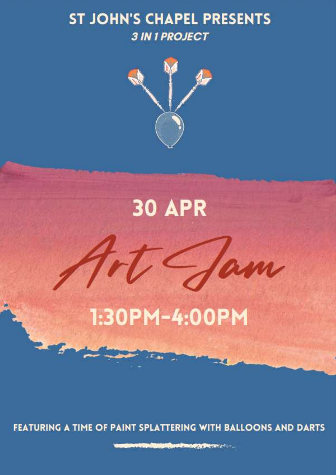## **ST JOHN'S CHAPEL PRESENTS 3 IN 1 PROJECT**



## **30 APR**

## 1:30PM-4:00PM

FEATURING A TIME OF PAINT SPLATTERING WITH BALLOONS AND DARTS

**CARD COMPANY OF BUILDING COMPANY**